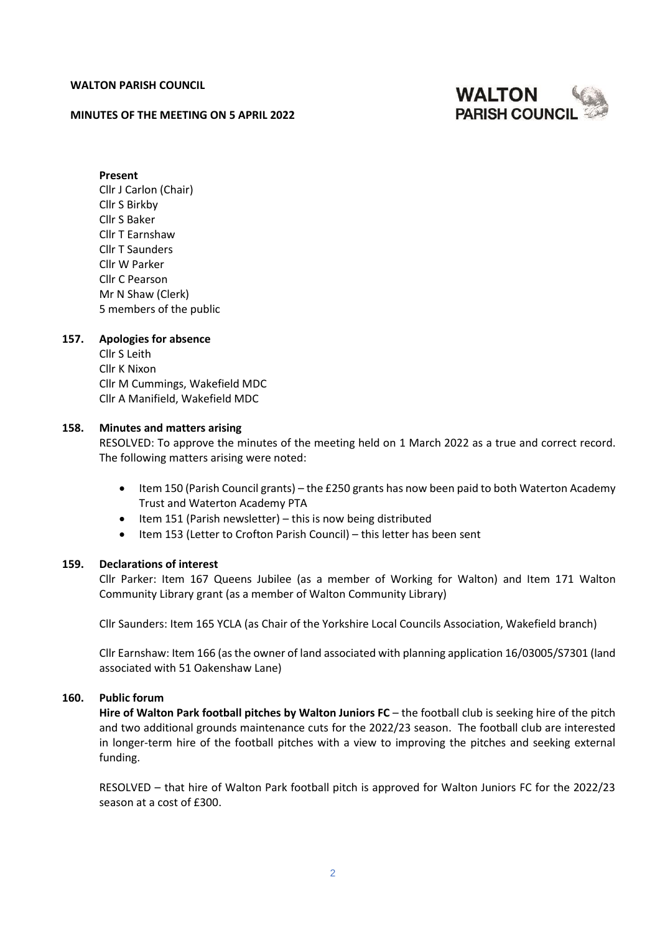#### **WALTON PARISH COUNCIL**

#### **MINUTES OF THE MEETING ON 5 APRIL 2022**



**Present** Cllr J Carlon (Chair) Cllr S Birkby Cllr S Baker Cllr T Earnshaw Cllr T Saunders Cllr W Parker Cllr C Pearson Mr N Shaw (Clerk) 5 members of the public

#### **157. Apologies for absence**

Cllr S Leith Cllr K Nixon Cllr M Cummings, Wakefield MDC Cllr A Manifield, Wakefield MDC

#### **158. Minutes and matters arising**

RESOLVED: To approve the minutes of the meeting held on 1 March 2022 as a true and correct record. The following matters arising were noted:

- Item 150 (Parish Council grants) the £250 grants has now been paid to both Waterton Academy Trust and Waterton Academy PTA
- Item 151 (Parish newsletter) this is now being distributed
- Item 153 (Letter to Crofton Parish Council) this letter has been sent

#### **159. Declarations of interest**

Cllr Parker: Item 167 Queens Jubilee (as a member of Working for Walton) and Item 171 Walton Community Library grant (as a member of Walton Community Library)

Cllr Saunders: Item 165 YCLA (as Chair of the Yorkshire Local Councils Association, Wakefield branch)

Cllr Earnshaw: Item 166 (as the owner of land associated with planning application 16/03005/S7301 (land associated with 51 Oakenshaw Lane)

### **160. Public forum**

**Hire of Walton Park football pitches by Walton Juniors FC** – the football club is seeking hire of the pitch and two additional grounds maintenance cuts for the 2022/23 season. The football club are interested in longer-term hire of the football pitches with a view to improving the pitches and seeking external funding.

RESOLVED – that hire of Walton Park football pitch is approved for Walton Juniors FC for the 2022/23 season at a cost of £300.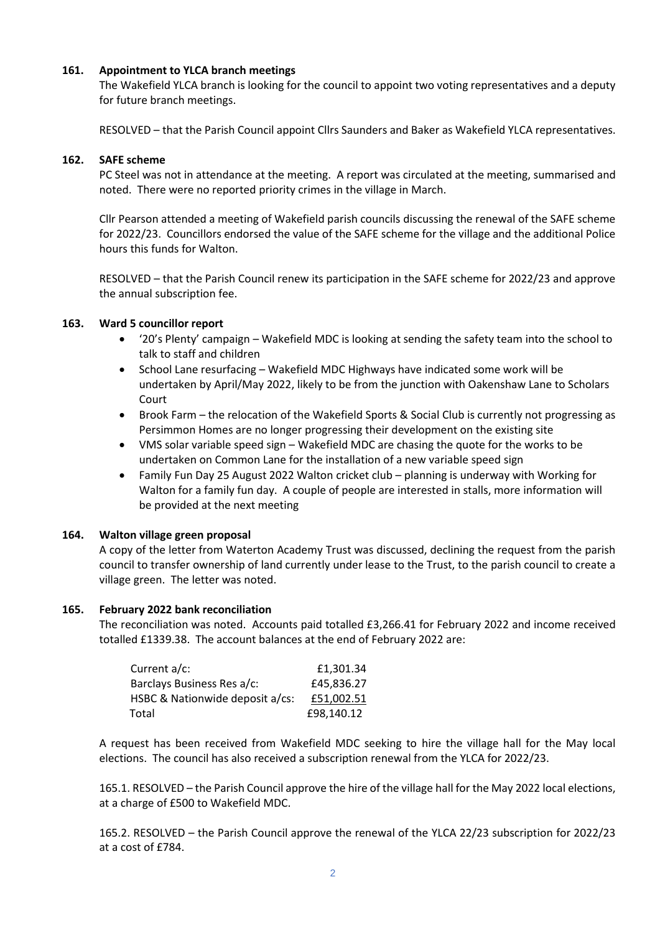## **161. Appointment to YLCA branch meetings**

The Wakefield YLCA branch is looking for the council to appoint two voting representatives and a deputy for future branch meetings.

RESOLVED – that the Parish Council appoint Cllrs Saunders and Baker as Wakefield YLCA representatives.

#### **162. SAFE scheme**

PC Steel was not in attendance at the meeting. A report was circulated at the meeting, summarised and noted. There were no reported priority crimes in the village in March.

Cllr Pearson attended a meeting of Wakefield parish councils discussing the renewal of the SAFE scheme for 2022/23. Councillors endorsed the value of the SAFE scheme for the village and the additional Police hours this funds for Walton.

RESOLVED – that the Parish Council renew its participation in the SAFE scheme for 2022/23 and approve the annual subscription fee.

#### **163. Ward 5 councillor report**

- '20's Plenty' campaign Wakefield MDC is looking at sending the safety team into the school to talk to staff and children
- School Lane resurfacing Wakefield MDC Highways have indicated some work will be undertaken by April/May 2022, likely to be from the junction with Oakenshaw Lane to Scholars Court
- Brook Farm the relocation of the Wakefield Sports & Social Club is currently not progressing as Persimmon Homes are no longer progressing their development on the existing site
- VMS solar variable speed sign Wakefield MDC are chasing the quote for the works to be undertaken on Common Lane for the installation of a new variable speed sign
- Family Fun Day 25 August 2022 Walton cricket club planning is underway with Working for Walton for a family fun day. A couple of people are interested in stalls, more information will be provided at the next meeting

## **164. Walton village green proposal**

A copy of the letter from Waterton Academy Trust was discussed, declining the request from the parish council to transfer ownership of land currently under lease to the Trust, to the parish council to create a village green. The letter was noted.

## **165. February 2022 bank reconciliation**

The reconciliation was noted. Accounts paid totalled £3,266.41 for February 2022 and income received totalled £1339.38. The account balances at the end of February 2022 are:

| Current a/c:                    | £1,301.34  |
|---------------------------------|------------|
| Barclays Business Res a/c:      | £45,836.27 |
| HSBC & Nationwide deposit a/cs: | £51,002.51 |
| Total                           | £98,140.12 |

A request has been received from Wakefield MDC seeking to hire the village hall for the May local elections. The council has also received a subscription renewal from the YLCA for 2022/23.

165.1. RESOLVED – the Parish Council approve the hire of the village hall for the May 2022 local elections, at a charge of £500 to Wakefield MDC.

165.2. RESOLVED – the Parish Council approve the renewal of the YLCA 22/23 subscription for 2022/23 at a cost of £784.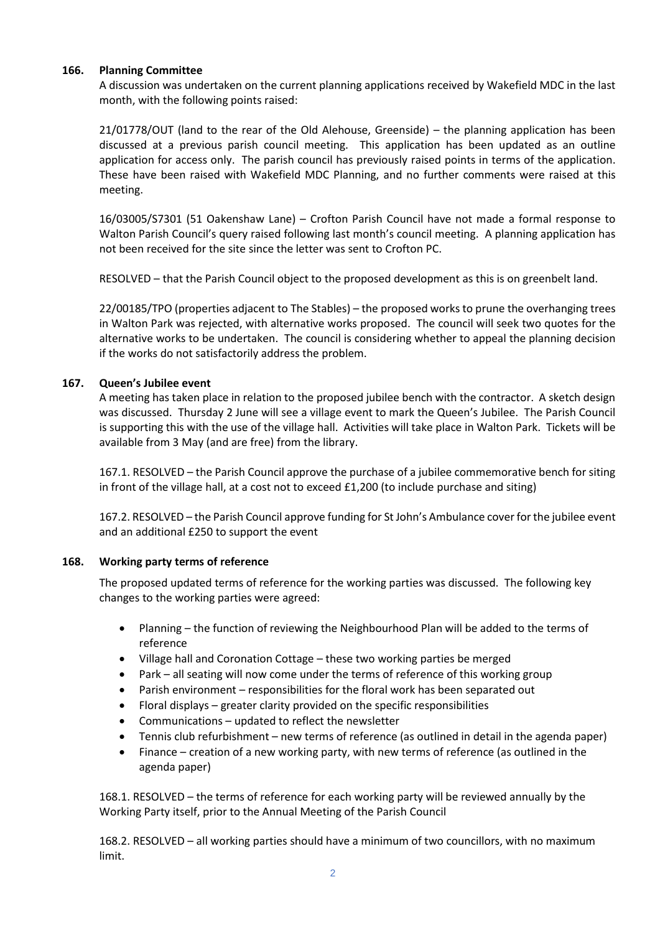## **166. Planning Committee**

A discussion was undertaken on the current planning applications received by Wakefield MDC in the last month, with the following points raised:

21/01778/OUT (land to the rear of the Old Alehouse, Greenside) – the planning application has been discussed at a previous parish council meeting. This application has been updated as an outline application for access only. The parish council has previously raised points in terms of the application. These have been raised with Wakefield MDC Planning, and no further comments were raised at this meeting.

16/03005/S7301 (51 Oakenshaw Lane) – Crofton Parish Council have not made a formal response to Walton Parish Council's query raised following last month's council meeting. A planning application has not been received for the site since the letter was sent to Crofton PC.

RESOLVED – that the Parish Council object to the proposed development as this is on greenbelt land.

22/00185/TPO (properties adjacent to The Stables) – the proposed works to prune the overhanging trees in Walton Park was rejected, with alternative works proposed. The council will seek two quotes for the alternative works to be undertaken. The council is considering whether to appeal the planning decision if the works do not satisfactorily address the problem.

# **167. Queen's Jubilee event**

A meeting has taken place in relation to the proposed jubilee bench with the contractor. A sketch design was discussed. Thursday 2 June will see a village event to mark the Queen's Jubilee. The Parish Council is supporting this with the use of the village hall. Activities will take place in Walton Park. Tickets will be available from 3 May (and are free) from the library.

167.1. RESOLVED – the Parish Council approve the purchase of a jubilee commemorative bench for siting in front of the village hall, at a cost not to exceed £1,200 (to include purchase and siting)

167.2. RESOLVED – the Parish Council approve funding for St John's Ambulance cover for the jubilee event and an additional £250 to support the event

## **168. Working party terms of reference**

The proposed updated terms of reference for the working parties was discussed. The following key changes to the working parties were agreed:

- Planning the function of reviewing the Neighbourhood Plan will be added to the terms of reference
- Village hall and Coronation Cottage these two working parties be merged
- Park all seating will now come under the terms of reference of this working group
- Parish environment responsibilities for the floral work has been separated out
- Floral displays greater clarity provided on the specific responsibilities
- Communications updated to reflect the newsletter
- Tennis club refurbishment new terms of reference (as outlined in detail in the agenda paper)
- Finance creation of a new working party, with new terms of reference (as outlined in the agenda paper)

168.1. RESOLVED – the terms of reference for each working party will be reviewed annually by the Working Party itself, prior to the Annual Meeting of the Parish Council

168.2. RESOLVED – all working parties should have a minimum of two councillors, with no maximum limit.